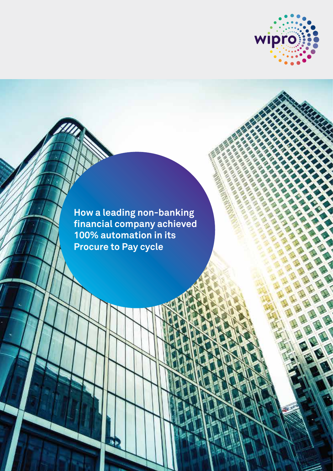

**CARD CARD CONSTRUCTION** 

**How a leading non-banking financial company achieved 100% automation in its Procure to Pay cycle**

والأ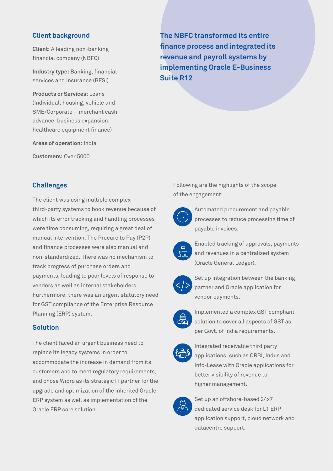## **Client background**

**Client:** A leading non-banking financial company (NBFC)

**Industry type:** Banking, financial services and insurance (BFSI)

**Products or Services:** Loans (Individual, housing, vehicle and SME/Corporate – merchant cash advance, business expansion, healthcare equipment finance)

**Areas of operation:** India

**Customers:** Over 5000

**The NBFC transformed its entire finance process and integrated its revenue and payroll systems by implementing Oracle E-Business Suite R12**

## **Challenges**

The client was using multiple complex third-party systems to book revenue because of which its error tracking and handling processes were time consuming, requiring a great deal of manual intervention. The Procure to Pay (P2P) and finance processes were also manual and non-standardized. There was no mechanism to track progress of purchase orders and payments, leading to poor levels of response to vendors as well as internal stakeholders. Furthermore, there was an urgent statutory need for GST compliance of the Enterprise Resource Planning (ERP) system.

# **Solution**

The client faced an urgent business need to replace its legacy systems in order to accommodate the increase in demand from its customers and to meet regulatory requirements, and chose Wipro as its strategic IT partner for the upgrade and optimization of the inherited Oracle ERP system as well as implementation of the Oracle ERP core solution.

Following are the highlights of the scope of the engagement:



 Automated procurement and payable processes to reduce processing time of payable invoices.



 Enabled tracking of approvals, payments  $\mathbf{F}_{\mathbf{r}}$  and revenues in a centralized system (Oracle General Ledger).



 Set up integration between the banking partner and Oracle application for vendor payments.



 Implemented a complex GST compliant solution to cover all aspects of GST as per Govt. of India requirements.



 Integrated receivable third party applications, such as ORBI, Indus and Info-Lease with Oracle applications for better visibility of revenue to higher management.



 Set up an offshore-based 24x7 dedicated service desk for L1 ERP application support, cloud network and datacentre support.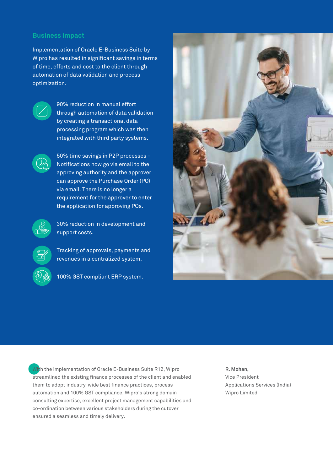### **Business impact**

Implementation of Oracle E-Business Suite by Wipro has resulted in significant savings in terms of time, efforts and cost to the client through automation of data validation and process optimization.



90% reduction in manual effort through automation of data validation by creating a transactional data processing program which was then integrated with third party systems.



 50% time savings in P2P processes - Notifications now go via email to the approving authority and the approver can approve the Purchase Order (PO) via email. There is no longer a requirement for the approver to enter the application for approving POs.



 30% reduction in development and support costs.



 Tracking of approvals, payments and revenues in a centralized system.



100% GST compliant ERP system.



With the implementation of Oracle E-Business Suite R12, Wipro streamlined the existing finance processes of the client and enabled them to adopt industry-wide best finance practices, process automation and 100% GST compliance. Wipro's strong domain consulting expertise, excellent project management capabilities and co-ordination between various stakeholders during the cutover ensured a seamless and timely delivery.

**R. Mohan,**  Vice President Applications Services (India) Wipro Limited